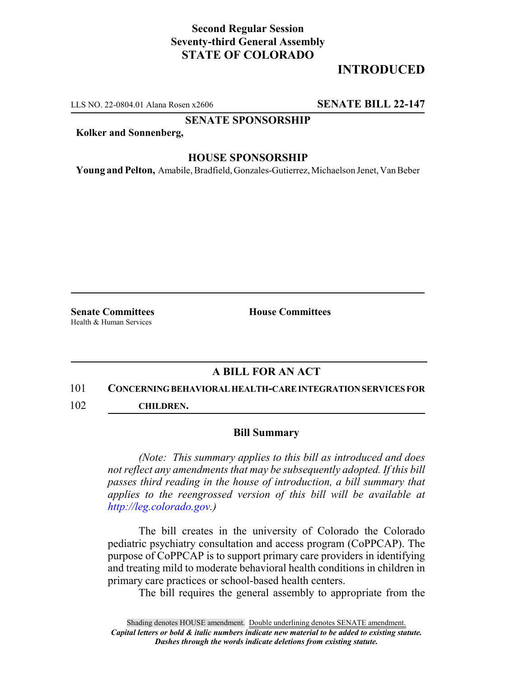## **Second Regular Session Seventy-third General Assembly STATE OF COLORADO**

# **INTRODUCED**

LLS NO. 22-0804.01 Alana Rosen x2606 **SENATE BILL 22-147**

#### **SENATE SPONSORSHIP**

**Kolker and Sonnenberg,**

### **HOUSE SPONSORSHIP**

**Young and Pelton,** Amabile, Bradfield, Gonzales-Gutierrez, Michaelson Jenet, Van Beber

Health & Human Services

**Senate Committees House Committees** 

## **A BILL FOR AN ACT**

### 101 **CONCERNING BEHAVIORAL HEALTH-CARE INTEGRATION SERVICES FOR**

102 **CHILDREN.**

### **Bill Summary**

*(Note: This summary applies to this bill as introduced and does not reflect any amendments that may be subsequently adopted. If this bill passes third reading in the house of introduction, a bill summary that applies to the reengrossed version of this bill will be available at http://leg.colorado.gov.)*

The bill creates in the university of Colorado the Colorado pediatric psychiatry consultation and access program (CoPPCAP). The purpose of CoPPCAP is to support primary care providers in identifying and treating mild to moderate behavioral health conditions in children in primary care practices or school-based health centers.

The bill requires the general assembly to appropriate from the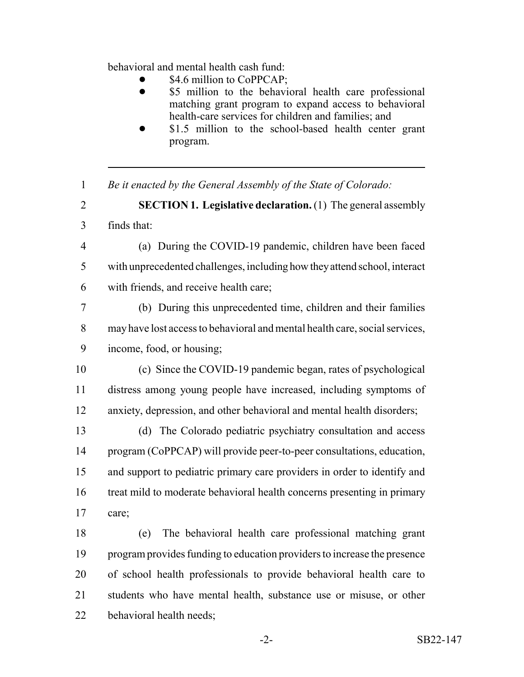behavioral and mental health cash fund:

- \$4.6 million to CoPPCAP;
- \$5 million to the behavioral health care professional matching grant program to expand access to behavioral health-care services for children and families; and
- \$1.5 million to the school-based health center grant program.
- *Be it enacted by the General Assembly of the State of Colorado:*

 **SECTION 1. Legislative declaration.** (1) The general assembly finds that:

 (a) During the COVID-19 pandemic, children have been faced with unprecedented challenges, including how they attend school, interact with friends, and receive health care;

 (b) During this unprecedented time, children and their families may have lost access to behavioral and mental health care, social services, income, food, or housing;

 (c) Since the COVID-19 pandemic began, rates of psychological distress among young people have increased, including symptoms of anxiety, depression, and other behavioral and mental health disorders;

 (d) The Colorado pediatric psychiatry consultation and access program (CoPPCAP) will provide peer-to-peer consultations, education, and support to pediatric primary care providers in order to identify and treat mild to moderate behavioral health concerns presenting in primary care;

 (e) The behavioral health care professional matching grant program provides funding to education providers to increase the presence of school health professionals to provide behavioral health care to students who have mental health, substance use or misuse, or other behavioral health needs;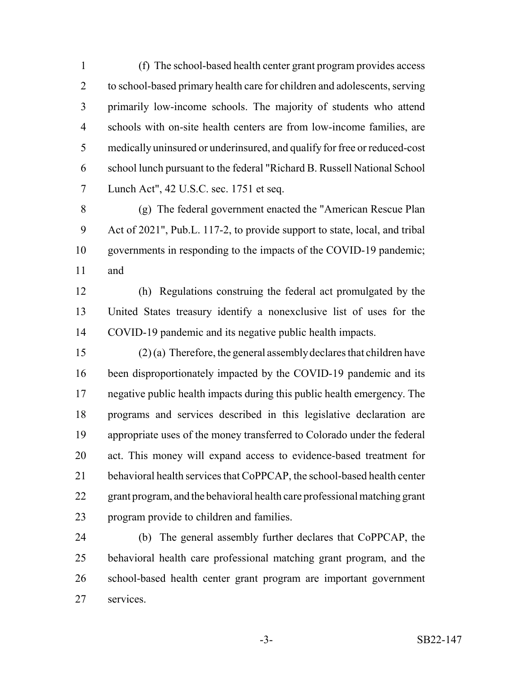(f) The school-based health center grant program provides access to school-based primary health care for children and adolescents, serving primarily low-income schools. The majority of students who attend schools with on-site health centers are from low-income families, are medically uninsured or underinsured, and qualify for free or reduced-cost school lunch pursuant to the federal "Richard B. Russell National School Lunch Act", 42 U.S.C. sec. 1751 et seq.

 (g) The federal government enacted the "American Rescue Plan Act of 2021", Pub.L. 117-2, to provide support to state, local, and tribal governments in responding to the impacts of the COVID-19 pandemic; and

 (h) Regulations construing the federal act promulgated by the United States treasury identify a nonexclusive list of uses for the COVID-19 pandemic and its negative public health impacts.

 (2) (a) Therefore, the general assembly declares that children have been disproportionately impacted by the COVID-19 pandemic and its negative public health impacts during this public health emergency. The programs and services described in this legislative declaration are appropriate uses of the money transferred to Colorado under the federal act. This money will expand access to evidence-based treatment for behavioral health services that CoPPCAP, the school-based health center grant program, and the behavioral health care professional matching grant program provide to children and families.

 (b) The general assembly further declares that CoPPCAP, the behavioral health care professional matching grant program, and the school-based health center grant program are important government services.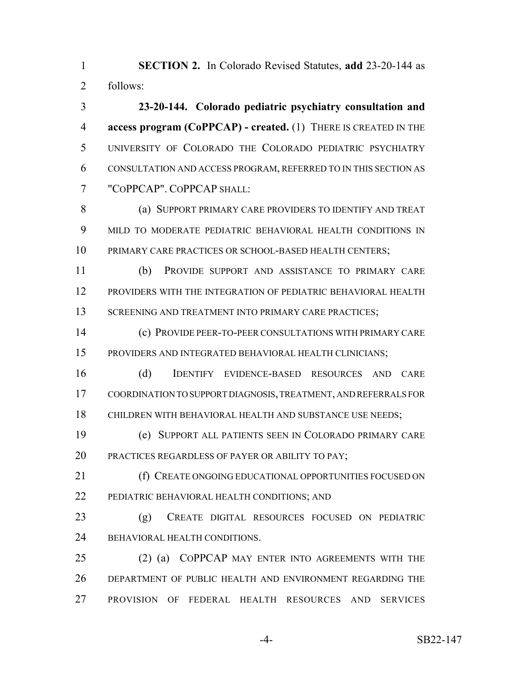**SECTION 2.** In Colorado Revised Statutes, **add** 23-20-144 as follows:

 **23-20-144. Colorado pediatric psychiatry consultation and access program (CoPPCAP) - created.** (1) THERE IS CREATED IN THE UNIVERSITY OF COLORADO THE COLORADO PEDIATRIC PSYCHIATRY CONSULTATION AND ACCESS PROGRAM, REFERRED TO IN THIS SECTION AS "COPPCAP". COPPCAP SHALL:

8 (a) SUPPORT PRIMARY CARE PROVIDERS TO IDENTIFY AND TREAT MILD TO MODERATE PEDIATRIC BEHAVIORAL HEALTH CONDITIONS IN PRIMARY CARE PRACTICES OR SCHOOL-BASED HEALTH CENTERS;

 (b) PROVIDE SUPPORT AND ASSISTANCE TO PRIMARY CARE PROVIDERS WITH THE INTEGRATION OF PEDIATRIC BEHAVIORAL HEALTH 13 SCREENING AND TREATMENT INTO PRIMARY CARE PRACTICES;

 (c) PROVIDE PEER-TO-PEER CONSULTATIONS WITH PRIMARY CARE PROVIDERS AND INTEGRATED BEHAVIORAL HEALTH CLINICIANS;

 (d) IDENTIFY EVIDENCE-BASED RESOURCES AND CARE COORDINATION TO SUPPORT DIAGNOSIS, TREATMENT, AND REFERRALS FOR CHILDREN WITH BEHAVIORAL HEALTH AND SUBSTANCE USE NEEDS;

 (e) SUPPORT ALL PATIENTS SEEN IN COLORADO PRIMARY CARE 20 PRACTICES REGARDLESS OF PAYER OR ABILITY TO PAY;

21 (f) CREATE ONGOING EDUCATIONAL OPPORTUNITIES FOCUSED ON PEDIATRIC BEHAVIORAL HEALTH CONDITIONS; AND

 (g) CREATE DIGITAL RESOURCES FOCUSED ON PEDIATRIC 24 BEHAVIORAL HEALTH CONDITIONS.

 (2) (a) COPPCAP MAY ENTER INTO AGREEMENTS WITH THE DEPARTMENT OF PUBLIC HEALTH AND ENVIRONMENT REGARDING THE PROVISION OF FEDERAL HEALTH RESOURCES AND SERVICES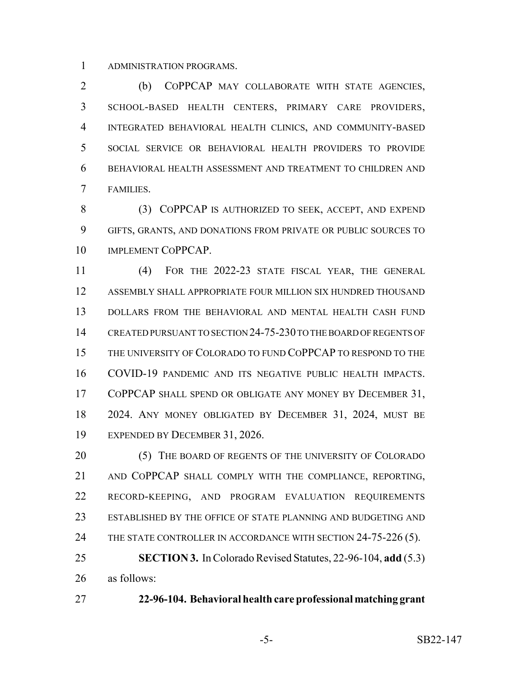ADMINISTRATION PROGRAMS.

 (b) COPPCAP MAY COLLABORATE WITH STATE AGENCIES, SCHOOL-BASED HEALTH CENTERS, PRIMARY CARE PROVIDERS, INTEGRATED BEHAVIORAL HEALTH CLINICS, AND COMMUNITY-BASED SOCIAL SERVICE OR BEHAVIORAL HEALTH PROVIDERS TO PROVIDE BEHAVIORAL HEALTH ASSESSMENT AND TREATMENT TO CHILDREN AND FAMILIES.

8 (3) COPPCAP IS AUTHORIZED TO SEEK, ACCEPT, AND EXPEND GIFTS, GRANTS, AND DONATIONS FROM PRIVATE OR PUBLIC SOURCES TO IMPLEMENT COPPCAP.

 (4) FOR THE 2022-23 STATE FISCAL YEAR, THE GENERAL ASSEMBLY SHALL APPROPRIATE FOUR MILLION SIX HUNDRED THOUSAND DOLLARS FROM THE BEHAVIORAL AND MENTAL HEALTH CASH FUND CREATED PURSUANT TO SECTION 24-75-230 TO THE BOARD OF REGENTS OF THE UNIVERSITY OF COLORADO TO FUND COPPCAP TO RESPOND TO THE COVID-19 PANDEMIC AND ITS NEGATIVE PUBLIC HEALTH IMPACTS. 17 COPPCAP SHALL SPEND OR OBLIGATE ANY MONEY BY DECEMBER 31, 2024. ANY MONEY OBLIGATED BY DECEMBER 31, 2024, MUST BE EXPENDED BY DECEMBER 31, 2026.

20 (5) THE BOARD OF REGENTS OF THE UNIVERSITY OF COLORADO AND COPPCAP SHALL COMPLY WITH THE COMPLIANCE, REPORTING, RECORD-KEEPING, AND PROGRAM EVALUATION REQUIREMENTS ESTABLISHED BY THE OFFICE OF STATE PLANNING AND BUDGETING AND 24 THE STATE CONTROLLER IN ACCORDANCE WITH SECTION 24-75-226 (5). **SECTION 3.** In Colorado Revised Statutes, 22-96-104, **add** (5.3)

as follows:

**22-96-104. Behavioral health care professional matching grant**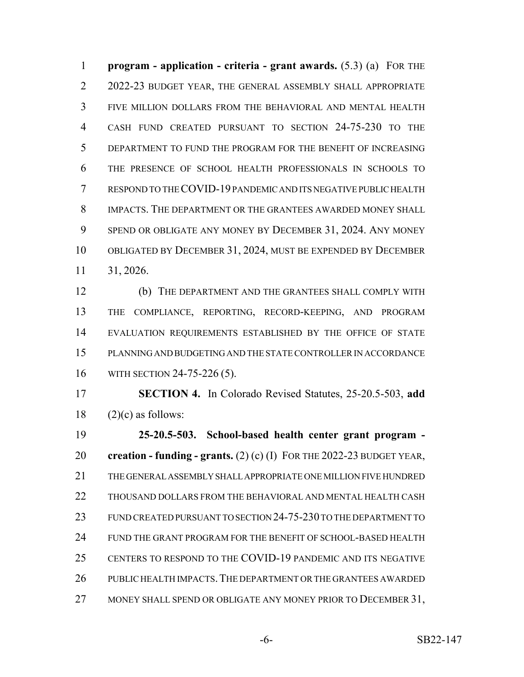**program - application - criteria - grant awards.** (5.3) (a) FOR THE 2 2022-23 BUDGET YEAR, THE GENERAL ASSEMBLY SHALL APPROPRIATE FIVE MILLION DOLLARS FROM THE BEHAVIORAL AND MENTAL HEALTH CASH FUND CREATED PURSUANT TO SECTION 24-75-230 TO THE DEPARTMENT TO FUND THE PROGRAM FOR THE BENEFIT OF INCREASING THE PRESENCE OF SCHOOL HEALTH PROFESSIONALS IN SCHOOLS TO RESPOND TO THE COVID-19 PANDEMIC AND ITS NEGATIVE PUBLIC HEALTH IMPACTS. THE DEPARTMENT OR THE GRANTEES AWARDED MONEY SHALL SPEND OR OBLIGATE ANY MONEY BY DECEMBER 31, 2024. ANY MONEY OBLIGATED BY DECEMBER 31, 2024, MUST BE EXPENDED BY DECEMBER 31, 2026.

 (b) THE DEPARTMENT AND THE GRANTEES SHALL COMPLY WITH THE COMPLIANCE, REPORTING, RECORD-KEEPING, AND PROGRAM EVALUATION REQUIREMENTS ESTABLISHED BY THE OFFICE OF STATE PLANNING AND BUDGETING AND THE STATE CONTROLLER IN ACCORDANCE WITH SECTION 24-75-226 (5).

 **SECTION 4.** In Colorado Revised Statutes, 25-20.5-503, **add** (2)(c) as follows:

 **25-20.5-503. School-based health center grant program - creation - funding - grants.** (2) (c) (I) FOR THE 2022-23 BUDGET YEAR, THE GENERAL ASSEMBLY SHALL APPROPRIATE ONE MILLION FIVE HUNDRED THOUSAND DOLLARS FROM THE BEHAVIORAL AND MENTAL HEALTH CASH FUND CREATED PURSUANT TO SECTION 24-75-230 TO THE DEPARTMENT TO FUND THE GRANT PROGRAM FOR THE BENEFIT OF SCHOOL-BASED HEALTH CENTERS TO RESPOND TO THE COVID-19 PANDEMIC AND ITS NEGATIVE PUBLIC HEALTH IMPACTS.THE DEPARTMENT OR THE GRANTEES AWARDED 27 MONEY SHALL SPEND OR OBLIGATE ANY MONEY PRIOR TO DECEMBER 31,